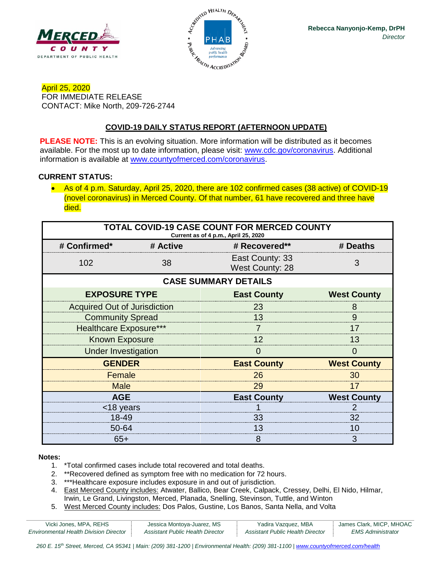



April 25, 2020 FOR IMMEDIATE RELEASE CONTACT: Mike North, 209-726-2744

## **COVID-19 DAILY STATUS REPORT (AFTERNOON UPDATE)**

**PLEASE NOTE:** This is an evolving situation. More information will be distributed as it becomes available. For the most up to date information, please visit: [www.cdc.gov/coronavirus.](http://www.cdc.gov/coronavirus) Additional information is available at [www.countyofmerced.com/coronavirus.](http://www.countyofmerced.com/coronavirus)

#### **CURRENT STATUS:**

• As of 4 p.m. Saturday, April 25, 2020, there are 102 confirmed cases (38 active) of COVID-19 (novel coronavirus) in Merced County. Of that number, 61 have recovered and three have died.

| TOTAL COVID-19 CASE COUNT FOR MERCED COUNTY<br>Current as of 4 p.m., April 25, 2020 |          |                                           |                    |  |  |
|-------------------------------------------------------------------------------------|----------|-------------------------------------------|--------------------|--|--|
| # Confirmed*                                                                        | # Active | # Recovered**                             | # Deaths           |  |  |
| 102                                                                                 | 38       | East County: 33<br><b>West County: 28</b> | 3                  |  |  |
| <b>CASE SUMMARY DETAILS</b>                                                         |          |                                           |                    |  |  |
| <b>EXPOSURE TYPE</b>                                                                |          | <b>East County</b>                        | <b>West County</b> |  |  |
| <b>Acquired Out of Jurisdiction</b>                                                 |          | 23                                        | 8                  |  |  |
| <b>Community Spread</b>                                                             |          | 13                                        | 9                  |  |  |
| <b>Healthcare Exposure***</b>                                                       |          |                                           | 17                 |  |  |
| <b>Known Exposure</b>                                                               |          | 12                                        | 13                 |  |  |
| <b>Under Investigation</b>                                                          |          | O                                         | $\left( \right)$   |  |  |
| <b>GENDER</b>                                                                       |          | <b>East County</b>                        | <b>West County</b> |  |  |
| Female                                                                              |          | 26                                        | 30                 |  |  |
| <b>Male</b>                                                                         |          | 29                                        | 17                 |  |  |
| <b>AGE</b>                                                                          |          | <b>East County</b>                        | <b>West County</b> |  |  |
| <18 years                                                                           |          |                                           |                    |  |  |
| 18-49                                                                               |          | 33                                        | 32                 |  |  |
| 50-64                                                                               |          | 13                                        | 10                 |  |  |
| $65+$                                                                               |          | 8                                         | 3                  |  |  |

#### **Notes:**

- 1. \*Total confirmed cases include total recovered and total deaths.
- 2. \*\*Recovered defined as symptom free with no medication for 72 hours.
- 3. \*\*\*Healthcare exposure includes exposure in and out of jurisdiction.
- 4. East Merced County includes: Atwater, Ballico, Bear Creek, Calpack, Cressey, Delhi, El Nido, Hilmar, Irwin, Le Grand, Livingston, Merced, Planada, Snelling, Stevinson, Tuttle, and Winton
- 5. West Merced County includes: Dos Palos, Gustine, Los Banos, Santa Nella, and Volta

| Vicki Jones, MPA, REHS                        | Jessica Montoya-Juarez, MS       | Yadira Vazquez, MBA              | James Clark, MICP, MHOAC |
|-----------------------------------------------|----------------------------------|----------------------------------|--------------------------|
| <b>Environmental Health Division Director</b> | Assistant Public Health Director | Assistant Public Health Director | EMS Administrator        |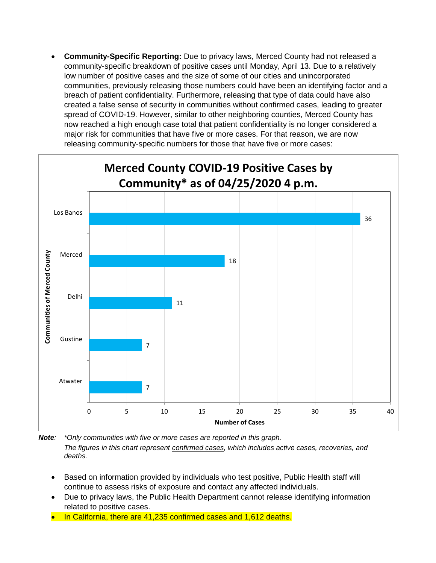• **Community-Specific Reporting:** Due to privacy laws, Merced County had not released a community-specific breakdown of positive cases until Monday, April 13. Due to a relatively low number of positive cases and the size of some of our cities and unincorporated communities, previously releasing those numbers could have been an identifying factor and a breach of patient confidentiality. Furthermore, releasing that type of data could have also created a false sense of security in communities without confirmed cases, leading to greater spread of COVID-19. However, similar to other neighboring counties, Merced County has now reached a high enough case total that patient confidentiality is no longer considered a major risk for communities that have five or more cases. For that reason, we are now releasing community-specific numbers for those that have five or more cases:



*Note: \*Only communities with five or more cases are reported in this graph. The figures in this chart represent confirmed cases, which includes active cases, recoveries, and deaths.*

- Based on information provided by individuals who test positive, Public Health staff will continue to assess risks of exposure and contact any affected individuals.
- Due to privacy laws, the Public Health Department cannot release identifying information related to positive cases.
- In California, there are 41,235 confirmed cases and 1,612 deaths.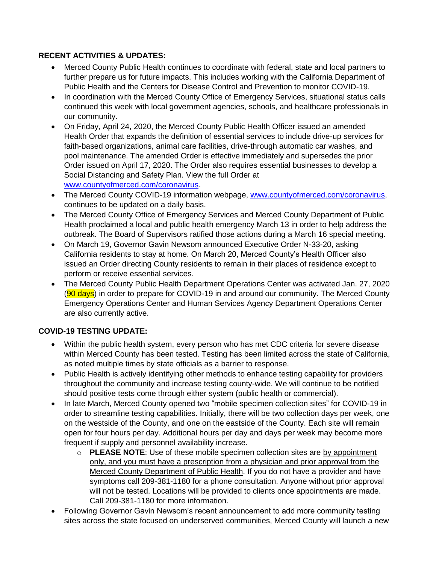### **RECENT ACTIVITIES & UPDATES:**

- Merced County Public Health continues to coordinate with federal, state and local partners to further prepare us for future impacts. This includes working with the California Department of Public Health and the Centers for Disease Control and Prevention to monitor COVID-19.
- In coordination with the Merced County Office of Emergency Services, situational status calls continued this week with local government agencies, schools, and healthcare professionals in our community.
- On Friday, April 24, 2020, the Merced County Public Health Officer issued an amended Health Order that expands the definition of essential services to include drive-up services for faith-based organizations, animal care facilities, drive-through automatic car washes, and pool maintenance. The amended Order is effective immediately and supersedes the prior Order issued on April 17, 2020. The Order also requires essential businesses to develop a Social Distancing and Safety Plan. View the full Order at [www.countyofmerced.com/coronavirus.](http://www.countyofmerced.com/coronavirus)
- The Merced County COVID-19 information webpage, [www.countyofmerced.com/coronavirus,](http://www.countyofmerced.com/coronavirus) continues to be updated on a daily basis.
- The Merced County Office of Emergency Services and Merced County Department of Public Health proclaimed a local and public health emergency March 13 in order to help address the outbreak. The Board of Supervisors ratified those actions during a March 16 special meeting.
- On March 19, Governor Gavin Newsom announced Executive Order N-33-20, asking California residents to stay at home. On March 20, Merced County's Health Officer also issued an Order directing County residents to remain in their places of residence except to perform or receive essential services.
- The Merced County Public Health Department Operations Center was activated Jan. 27, 2020 (90 days) in order to prepare for COVID-19 in and around our community. The Merced County Emergency Operations Center and Human Services Agency Department Operations Center are also currently active.

#### **COVID-19 TESTING UPDATE:**

- Within the public health system, every person who has met CDC criteria for severe disease within Merced County has been tested. Testing has been limited across the state of California, as noted multiple times by state officials as a barrier to response.
- Public Health is actively identifying other methods to enhance testing capability for providers throughout the community and increase testing county-wide. We will continue to be notified should positive tests come through either system (public health or commercial).
- In late March, Merced County opened two "mobile specimen collection sites" for COVID-19 in order to streamline testing capabilities. Initially, there will be two collection days per week, one on the westside of the County, and one on the eastside of the County. Each site will remain open for four hours per day. Additional hours per day and days per week may become more frequent if supply and personnel availability increase.
	- o **PLEASE NOTE**: Use of these mobile specimen collection sites are by appointment only, and you must have a prescription from a physician and prior approval from the Merced County Department of Public Health. If you do not have a provider and have symptoms call 209-381-1180 for a phone consultation. Anyone without prior approval will not be tested. Locations will be provided to clients once appointments are made. Call 209-381-1180 for more information.
- Following Governor Gavin Newsom's recent announcement to add more community testing sites across the state focused on underserved communities, Merced County will launch a new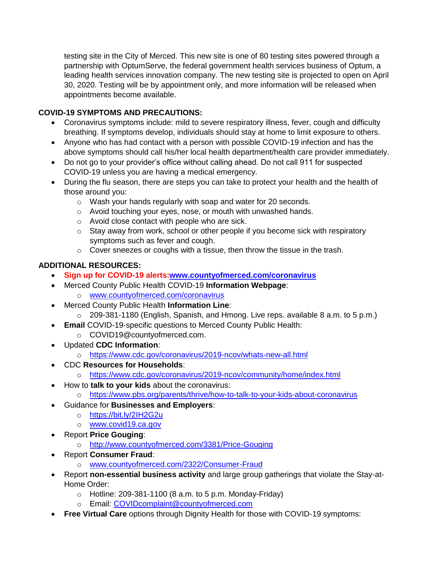testing site in the City of Merced. This new site is one of 80 testing sites powered through a partnership with OptumServe, the federal government health services business of Optum, a leading health services innovation company. The new testing site is projected to open on April 30, 2020. Testing will be by appointment only, and more information will be released when appointments become available.

## **COVID-19 SYMPTOMS AND PRECAUTIONS:**

- Coronavirus symptoms include: mild to severe respiratory illness, fever, cough and difficulty breathing. If symptoms develop, individuals should stay at home to limit exposure to others.
- Anyone who has had contact with a person with possible COVID-19 infection and has the above symptoms should call his/her local health department/health care provider immediately.
- Do not go to your provider's office without calling ahead. Do not call 911 for suspected COVID-19 unless you are having a medical emergency.
- During the flu season, there are steps you can take to protect your health and the health of those around you:
	- o Wash your hands regularly with soap and water for 20 seconds.
	- o Avoid touching your eyes, nose, or mouth with unwashed hands.
	- o Avoid close contact with people who are sick.
	- o Stay away from work, school or other people if you become sick with respiratory symptoms such as fever and cough.
	- o Cover sneezes or coughs with a tissue, then throw the tissue in the trash.

# **ADDITIONAL RESOURCES:**

- **Sign up for COVID-19 alerts[:www.countyofmerced.com/coronavirus](http://www.countyofmerced.com/coronavirus)**
- Merced County Public Health COVID-19 **Information Webpage**:
	- o [www.countyofmerced.com/coronavirus](http://www.countyofmerced.com/coronavirus)
- Merced County Public Health **Information Line**:
	- o 209-381-1180 (English, Spanish, and Hmong. Live reps. available 8 a.m. to 5 p.m.)
- **Email** COVID-19-specific questions to Merced County Public Health:
	- o COVID19@countyofmerced.com.
- Updated **CDC Information**:
	- o <https://www.cdc.gov/coronavirus/2019-ncov/whats-new-all.html>
- CDC **Resources for Households**:
	- o <https://www.cdc.gov/coronavirus/2019-ncov/community/home/index.html>
- How to **talk to your kids** about the coronavirus:
	- o <https://www.pbs.org/parents/thrive/how-to-talk-to-your-kids-about-coronavirus>
- Guidance for **Businesses and Employers**:
	- o <https://bit.ly/2IH2G2u>
	- o [www.covid19.ca.gov](http://www.covid19.ca.gov/)
- Report **Price Gouging**:
	- o <http://www.countyofmerced.com/3381/Price-Gouging>
- Report **Consumer Fraud**:
	- o [www.countyofmerced.com/2322/Consumer-Fraud](http://www.countyofmerced.com/2322/Consumer-Fraud)
- Report **non-essential business activity** and large group gatherings that violate the Stay-at-Home Order:
	- $\circ$  Hotline: 209-381-1100 (8 a.m. to 5 p.m. Monday-Friday)
	- o Email: [COVIDcomplaint@countyofmerced.com](mailto:COVIDcomplaint@countyofmerced.com)
- **Free Virtual Care** options through Dignity Health for those with COVID-19 symptoms: